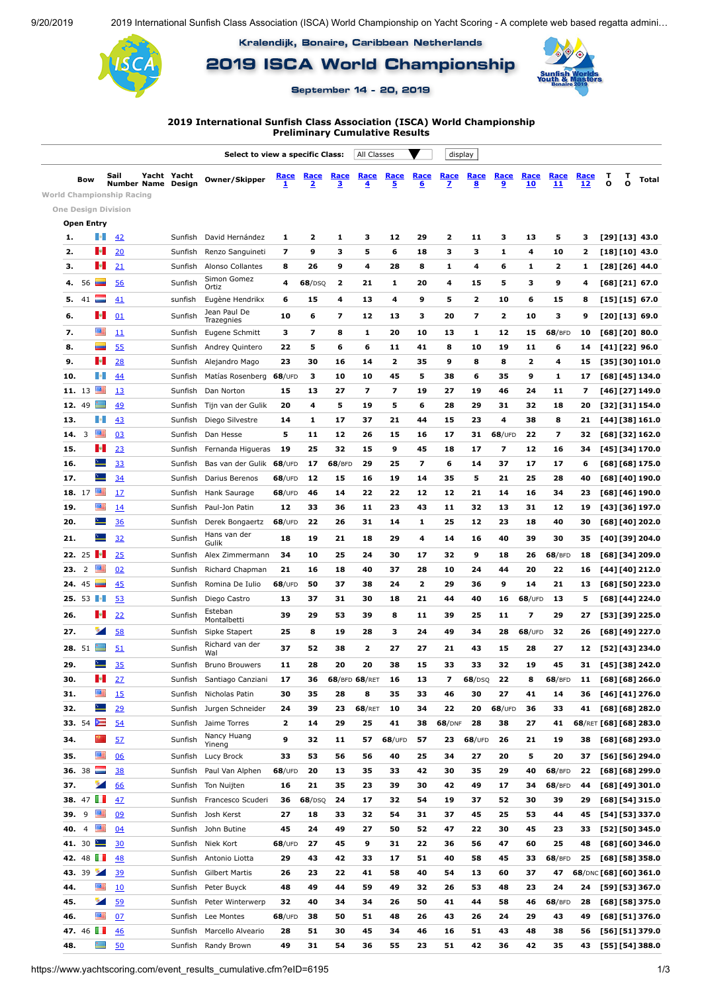9/20/2019 2019 International Sunfish Class Association (ISCA) World Championship on Yacht Scoring - A complete web based regatta admini...

Kralendijk, Bonaire, Caribbean Netherlands

2019 ISCA World Championship

September 14 - 20, 2019



**2019 International Sunfish Class Association (ISCA) World Championship Preliminary Cumulative Results**

|                                  | Select to view a specific Class: |                          |      |                    |             |                            | All Classes      |                                 |                  | display                                |                  |                         |           |                                 |                  |                   |                   |                        |                        |        |                 |
|----------------------------------|----------------------------------|--------------------------|------|--------------------|-------------|----------------------------|------------------|---------------------------------|------------------|----------------------------------------|------------------|-------------------------|-----------|---------------------------------|------------------|-------------------|-------------------|------------------------|------------------------|--------|-----------------|
|                                  | Bow                              |                          | Sail | Number Name Design | Yacht Yacht | Owner/Skipper              | <u>Race</u><br>1 | Race<br>$\overline{\mathbf{2}}$ | <u>Race</u><br>3 | <b>Race</b><br>$\overline{\mathbf{4}}$ | <b>Race</b><br>5 | Race<br>6               | Race<br>z | Race<br>$\overline{\mathbf{8}}$ | Race<br><u>و</u> | Race<br><b>10</b> | <b>Race</b><br>11 | <b>Race</b><br>12      | т<br>O                 | т<br>o | Total           |
| <b>World Championship Racing</b> |                                  |                          |      |                    |             |                            |                  |                                 |                  |                                        |                  |                         |           |                                 |                  |                   |                   |                        |                        |        |                 |
| <b>One Design Division</b>       |                                  |                          |      |                    |             |                            |                  |                                 |                  |                                        |                  |                         |           |                                 |                  |                   |                   |                        |                        |        |                 |
|                                  | Open Entry                       |                          |      |                    |             |                            |                  |                                 |                  |                                        |                  |                         |           |                                 |                  |                   |                   |                        |                        |        |                 |
| 1.                               |                                  | n.                       | 42   |                    | Sunfish     | David Hernández            | 1                | 2                               | 1                | з                                      | 12               | 29                      | 2         | 11                              | з                | 13                | 5                 | з                      | [29] [13] 43.0         |        |                 |
| 2.                               |                                  | a.                       | 20   |                    | Sunfish     | Renzo Sanguineti           | 7                | 9                               | з                | 5                                      | 6                | 18                      | з         | 3                               | 1                | 4                 | 10                | 2                      |                        |        | $[18][10]$ 43.0 |
| 3.                               |                                  | в.                       | 21   |                    | Sunfish     | Alonso Collantes           | 8                | 26                              | 9                | 4                                      | 28               | 8                       | 1         | 4                               | 6                | 1                 | 2                 | 1                      |                        |        | [28] [26] 44.0  |
| 4.                               | 56                               | ▄                        | 56   |                    | Sunfish     | Simon Gomez<br>Ortiz       | 4                | 68/DSQ                          | 2                | 21                                     | 1                | 20                      | 4         | 15                              | 5                | з                 | 9                 | 4                      |                        |        | $[68][21]$ 67.0 |
| 5.                               | 41                               |                          | 41   |                    | sunfish     | Eugène Hendrikx            | 6                | 15                              | 4                | 13                                     | 4                | 9                       | 5         | 2                               | 10               | 6                 | 15                | 8                      | $[15][15]$ 67.0        |        |                 |
| 6.                               |                                  | æ.                       | 01   |                    | Sunfish     | Jean Paul De<br>Trazegnies | 10               | 6                               | 7                | 12                                     | 13               | з                       | 20        | $\overline{\mathbf{z}}$         | 2                | 10                | 3                 | 9                      |                        |        | $[20][13]$ 69.0 |
| 7.                               |                                  | 匷                        | 11   |                    | Sunfish     | Eugene Schmitt             | з                | 7                               | 8                | 1                                      | 20               | 10                      | 13        | 1                               | 12               | 15                | 68/BFD            | 10                     |                        |        | [68] [20] 80.0  |
| 8.                               |                                  |                          | 55   |                    | Sunfish     | Andrey Quintero            | 22               | 5                               | 6                | 6                                      | 11               | 41                      | 8         | 10                              | 19               | 11                | 6                 | 14                     |                        |        | [41] [22] 96.0  |
| 9.                               |                                  | м.                       | 28   |                    | Sunfish     | Alejandro Mago             | 23               | 30                              | 16               | 14                                     | 2                | 35                      | 9         | 8                               | 8                | 2                 | 4                 | 15                     |                        |        | [35] [30] 101.0 |
| 10.                              |                                  | n.                       | 44   |                    | Sunfish     | Matías Rosenberg           | $68$ /UFD        | з                               | 10               | 10                                     | 45               | 5                       | 38        | 6                               | 35               | 9                 | 1                 | 17                     |                        |        | [68] [45] 134.0 |
|                                  | 11. 13                           | 靊                        | 13   |                    | Sunfish     | Dan Norton                 | 15               | 13                              | 27               | 7                                      | 7                | 19                      | 27        | 19                              | 46               | 24                | 11                | 7                      |                        |        | [46] [27] 149.0 |
|                                  | 12. 49                           | ▙                        | 49   |                    | Sunfish     | Tijn van der Gulik         | 20               | 4                               | 5                | 19                                     | 5                | 6                       | 28        | 29                              | 31               | 32                | 18                | 20                     |                        |        | [32] [31] 154.0 |
| 13.                              |                                  | ŀ.                       | 43   |                    | Sunfish     | Diego Silvestre            | 14               | 1                               | 17               | 37                                     | 21               | 44                      | 15        | 23                              | 4                | 38                | 8                 | 21                     |                        |        | [44] [38] 161.0 |
| 14.                              | 3                                | 酉                        | 03   |                    | Sunfish     | Dan Hesse                  | 5                | 11                              | 12               | 26                                     | 15               | 16                      | 17        | 31                              | $68$ /UFD        | 22                | 7                 | 32                     |                        |        | [68] [32] 162.0 |
| 15.                              |                                  | в.                       | 23   |                    | Sunfish     | Fernanda Higueras          | 19               | 25                              | 32               | 15                                     | 9                | 45                      | 18        | 17                              | 7                | 12                | 16                | 34                     |                        |        | [45] [34] 170.0 |
| 16.                              |                                  | $\sim$                   | 33   |                    | Sunfish     | Bas van der Gulik          | $68$ /UFD        | 17                              | 68/BFD           | 29                                     | 25               | $\overline{\mathbf{z}}$ | 6         | 14                              | 37               | 17                | 17                | 6                      |                        |        | [68] [68] 175.0 |
| 17.                              |                                  | $\sim$                   | 34   |                    | Sunfish     | Darius Berenos             | $68$ /UFD        | 12                              | 15               | 16                                     | 19               | 14                      | 35        | 5                               | 21               | 25                | 28                | 40                     |                        |        | [68] [40] 190.0 |
|                                  | 18. 17                           | 匷                        | 17   |                    | Sunfish     | Hank Saurage               | $68$ /UFD        | 46                              | 14               | 22                                     | 22               | 12                      | 12        | 21                              | 14               | 16                | 34                | 23                     |                        |        | [68] [46] 190.0 |
| 19.                              |                                  | 酉                        | 14   |                    | Sunfish     | Paul-Jon Patin             | 12               | 33                              | 36               | 11                                     | 23               | 43                      | 11        | 32                              | 13               | 31                | 12                | 19                     |                        |        | [43] [36] 197.0 |
| 20.                              |                                  | ∸                        | 36   |                    | Sunfish     | Derek Bongaertz            | $68$ /UFD        | 22                              | 26               | 31                                     | 14               | 1                       | 25        | 12                              | 23               | 18                | 40                | 30                     |                        |        | [68] [40] 202.0 |
| 21.                              |                                  | $\sim$                   | 32   |                    | Sunfish     | Hans van der               | 18               | 19                              | 21               | 18                                     | 29               | 4                       | 14        | 16                              | 40               | 39                | 30                | 35                     |                        |        | [40] [39] 204.0 |
|                                  | 22. 25                           | п.                       | 25   |                    | Sunfish     | Gulik<br>Alex Zimmermann   | 34               | 10                              | 25               | 24                                     | 30               | 17                      | 32        | 9                               | 18               | 26                | 68/BFD            | 18                     |                        |        | [68] [34] 209.0 |
| 23.                              | 2                                | 麗                        | 02   |                    | Sunfish     | Richard Chapman            | 21               | 16                              | 18               | 40                                     | 37               | 28                      | 10        | 24                              | 44               | 20                | 22                | 16                     |                        |        | [44] [40] 212.0 |
| 24.                              | 45                               |                          | 45   |                    | Sunfish     | Romina De Iulio            | $68$ /UFD        | 50                              | 37               | 38                                     | 24               | 2                       | 29        | 36                              | 9                | 14                | 21                | 13                     |                        |        | [68] [50] 223.0 |
|                                  | 25. 53 $\blacksquare$            |                          | 53   |                    | Sunfish     | Diego Castro               | 13               | 37                              | 31               | 30                                     | 18               | 21                      | 44        | 40                              | 16               | $68$ /UFD         | 13                | 5                      |                        |        | [68] [44] 224.0 |
|                                  |                                  | æ.                       |      |                    |             | Esteban                    |                  |                                 |                  |                                        |                  |                         |           |                                 |                  |                   |                   |                        |                        |        |                 |
| 26.                              |                                  |                          | 22   |                    | Sunfish     | Montalbetti                | 39               | 29                              | 53               | 39                                     | 8                | 11                      | 39        | 25                              | 11               | 7                 | 29                | 27                     |                        |        | [53] [39] 225.0 |
| 27.                              |                                  | ×                        | 58   |                    | Sunfish     | Sipke Stapert              | 25               | 8                               | 19               | 28                                     | з                | 24                      | 49        | 34                              | 28               | $68$ /UFD         | 32                | 26                     |                        |        | [68] [49] 227.0 |
|                                  | 28. 51                           |                          | 51   |                    | Sunfish     | Richard van der<br>Wal     | 37               | 52                              | 38               | 2                                      | 27               | 27                      | 21        | 43                              | 15               | 28                | 27                | 12                     |                        |        | [52] [43] 234.0 |
| 29.                              |                                  |                          | 35   |                    | Sunfish     | <b>Bruno Brouwers</b>      | 11               | 28                              | 20               | 20                                     | 38               | 15                      | 33        | 33                              | 32               | 19                | 45                | 31                     |                        |        | [45] [38] 242.0 |
| 30.                              |                                  | P.                       | 27   |                    | Sunfish     | Santiago Canziani          | 17               | 36                              |                  | 68/BFD 68/RET                          | 16               | 13                      | 7         | 68/DSQ                          | 22               | 8                 | 68/BFD            | 11                     |                        |        | [68] [68] 266.0 |
| 31.                              |                                  | 匷                        | 15   |                    | Sunfish     | Nicholas Patin             | 30               | 35                              | 28               | 8                                      | 35               | 33                      | 46        | 30                              | 27               | 41                | 14                | 36                     |                        |        | [46] [41] 276.0 |
| 32.                              |                                  | $\equiv$                 | 29   |                    | Sunfish     | Jurgen Schneider           | 24               | 39                              | 23               | 68/RET                                 | 10               | 34                      | 22        | 20                              | $68/$ UFD        | 36                | 33                | 41                     |                        |        | [68] [68] 282.0 |
|                                  | 33. 54 $\equiv$                  |                          | 54   |                    | Sunfish     | Jaime Torres               | 2                | 14                              | 29               | 25                                     | 41               | 38                      | 68/DNF    | 28                              | 38               | 27                | 41                |                        | 68/RET [68] [68] 283.0 |        |                 |
| 34.                              |                                  | $\sim$                   | 52   |                    | Sunfish     | Nancy Huang<br>Yineng      | 9                | 32                              | 11               | 57                                     | $68$ /UFD        | 57                      | 23        | 68/UPD                          | 26               | 21                | 19                | 38                     |                        |        | [68] [68] 293.0 |
| 35.                              |                                  | 匷                        | 06   |                    | Sunfish     | Lucy Brock                 | 33               | 53                              | 56               | 56                                     | 40               | 25                      | 34        | 27                              | 20               | 5                 | 20                | 37                     |                        |        | [56] [56] 294.0 |
|                                  | 36. 38                           | E                        | 38   |                    | Sunfish     | Paul Van Alphen            | $68$ /UFD        | 20                              | 13               | 35                                     | 33               | 42                      | 30        | 35                              | 29               | 40                | 68/BFD            | 22                     |                        |        | [68] [68] 299.0 |
| 37.                              |                                  | ×                        | 66   |                    | Sunfish     | Ton Nuijten                | 16               | 21                              | 35               | 23                                     | 39               | 30                      | 42        | 49                              | 17               | 34                | 68/BFD            | 44                     |                        |        | [68] [49] 301.0 |
|                                  | 38. $47$                         |                          | 47   |                    | Sunfish     | Francesco Scuderi          | 36               | 68/DSQ                          | 24               | 17                                     | 32               | 54                      | 19        | 37                              | 52               | 30                | 39                | 29                     |                        |        | [68] [54] 315.0 |
| 39. 9                            |                                  | 四                        | 09   |                    | Sunfish     | Josh Kerst                 | 27               | 18                              | 33               | 32                                     | 54               | 31                      | 37        | 45                              | 25               | 53                | 44                | 45                     |                        |        | [54] [53] 337.0 |
|                                  | 40. $4 \equiv$                   |                          | 04   |                    | Sunfish     | John Butine                | 45               | 24                              | 49               | 27                                     | 50               | 52                      | 47        | 22                              | 30               | 45                | 23                | 33                     |                        |        | [52] [50] 345.0 |
|                                  | 41. 30 $\blacksquare$            |                          | 30   |                    | Sunfish     | Niek Kort                  | $68$ /UFD        | 27                              | 45               | 9                                      | 31               | 22                      | 36        | 56                              | 47               | 60                | 25                | 48                     |                        |        | [68] [60] 346.0 |
|                                  | 42. 48 $\blacksquare$            |                          | 48   |                    | Sunfish     | Antonio Liotta             | 29               | 43                              | 42               | 33                                     | 17               | 51                      | 40        | 58                              | 45               | 33                | 68/BFD            | 25                     |                        |        | [68] [58] 358.0 |
|                                  | 43. 39                           |                          | 39   |                    | Sunfish     | <b>Gilbert Martis</b>      | 26               | 23                              | 22               | 41                                     | 58               | 40                      | 54        | 13                              | 60               | 37                | 47                | 68/DNC [68] [60] 361.0 |                        |        |                 |
| 44.                              |                                  | 酉                        | 10   |                    | Sunfish     | Peter Buyck                | 48               | 49                              | 44               | 59                                     | 49               | 32                      | 26        | 53                              | 48               | 23                | 24                | 24                     |                        |        | [59] [53] 367.0 |
| 45.                              |                                  | ×                        | 59   |                    | Sunfish     | Peter Winterwerp           | 32               | 40                              | 34               | 34                                     | 26               | 50                      | 41        | 44                              | 58               | 46                | 68/BFD            | 28                     |                        |        | [68] [58] 375.0 |
| 46.                              |                                  | 匷                        | 07   |                    | Sunfish     | Lee Montes                 | $68$ /UFD        | 38                              | 50               | 51                                     | 48               | 26                      | 43        | 26                              | 24               | 29                | 43                | 49                     |                        |        | [68] [51] 376.0 |
|                                  | 47. 46                           |                          | 46   |                    | Sunfish     | Marcello Alveario          | 28               | 51                              | 30               | 45                                     | 34               | 46                      | 16        | 51                              | 43               | 48                | 38                | 56                     |                        |        | [56] [51] 379.0 |
| 48.                              |                                  | $\overline{\phantom{a}}$ | 50   |                    |             | Sunfish Randy Brown        | 49               | 31                              | 54               | 36                                     | 55               | 23                      | 51        | 42                              | 36               | 42                | 35                | 43                     |                        |        | [55] [54] 388.0 |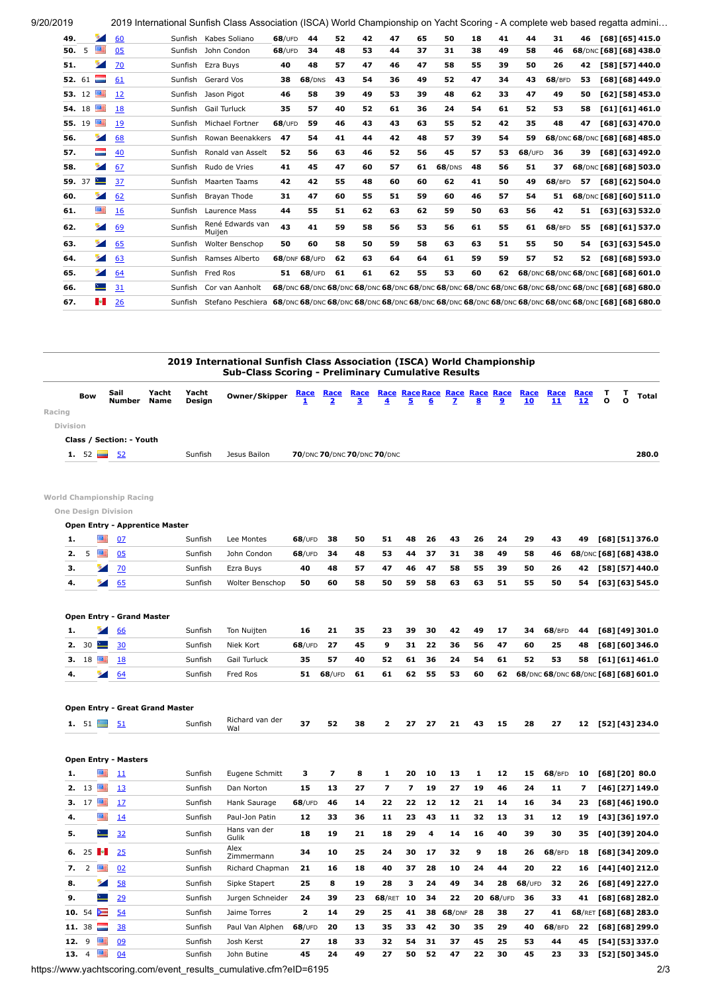9/20/2019 2019 International Sunfish Class Association (ISCA) World Championship on Yacht Scoring - A complete web based regatta admini...

| 49.    |    |          | 60 | Sunfish | Kabes Soliano              | $68$ /UFD | 44            | 52 | 42 | 47 | 65 | 50            | 18 | 41 | 44        | 31     | 46 | [68] [65] 415.0                                                                                   |  |
|--------|----|----------|----|---------|----------------------------|-----------|---------------|----|----|----|----|---------------|----|----|-----------|--------|----|---------------------------------------------------------------------------------------------------|--|
| 50.    | 5  | 匷        | 05 | Sunfish | John Condon                | $68$ /UFD | 34            | 48 | 53 | 44 | 37 | 31            | 38 | 49 | 58        | 46     |    | 68/DNC [68] [68] 438.0                                                                            |  |
| 51.    |    | ÷        | 70 |         | Sunfish Ezra Buys          | 40        | 48            | 57 | 47 | 46 | 47 | 58            | 55 | 39 | 50        | 26     | 42 | [58] [57] 440.0                                                                                   |  |
| 52. 61 |    | $\equiv$ | 61 |         | Sunfish Gerard Vos         | 38        | 68/DNS        | 43 | 54 | 36 | 49 | 52            | 47 | 34 | 43        | 68/BFD | 53 | [68] [68] 449.0                                                                                   |  |
| 53. 12 |    | 墨        | 12 |         | Sunfish Jason Pigot        | 46        | 58            | 39 | 49 | 53 | 39 | 48            | 62 | 33 | 47        | 49     | 50 | [62] [58] 453.0                                                                                   |  |
| 54. 18 |    | 酉        | 18 | Sunfish | <b>Gail Turluck</b>        | 35        | 57            | 40 | 52 | 61 | 36 | 24            | 54 | 61 | 52        | 53     | 58 | [61][61]461.0                                                                                     |  |
| 55.    | 19 | 酉        | 19 | Sunfish | Michael Fortner            | $68$ /UFD | 59            | 46 | 43 | 43 | 63 | 55            | 52 | 42 | 35        | 48     | 47 | [68] [63] 470.0                                                                                   |  |
| 56.    |    |          | 68 | Sunfish | Rowan Beenakkers           | 47        | 54            | 41 | 44 | 42 | 48 | 57            | 39 | 54 | 59        |        |    | 68/DNC 68/DNC [68] [68] 485.0                                                                     |  |
| 57.    |    | T        | 40 | Sunfish | Ronald van Asselt          | 52        | 56            | 63 | 46 | 52 | 56 | 45            | 57 | 53 | $68$ /UFD | 36     | 39 | [68] [63] 492.0                                                                                   |  |
| 58.    |    | ×.       | 67 | Sunfish | Rudo de Vries              | 41        | 45            | 47 | 60 | 57 | 61 | <b>68/DNS</b> | 48 | 56 | 51        | 37     |    | 68/DNC [68] [68] 503.0                                                                            |  |
| 59. 37 |    | $\sim$   | 37 | Sunfish | <b>Maarten Taams</b>       | 42        | 42            | 55 | 48 | 60 | 60 | 62            | 41 | 50 | 49        | 68/BFD | 57 | [68] [62] 504.0                                                                                   |  |
| 60.    |    | ×.       | 62 | Sunfish | Bravan Thode               | 31        | 47            | 60 | 55 | 51 | 59 | 60            | 46 | 57 | 54        | 51     |    | 68/DNC [68] [60] 511.0                                                                            |  |
| 61.    |    | 酉        | 16 | Sunfish | Laurence Mass              | 44        | 55            | 51 | 62 | 63 | 62 | 59            | 50 | 63 | 56        | 42     | 51 | [63] [63] 532.0                                                                                   |  |
| 62.    |    | ×        | 69 | Sunfish | René Edwards van<br>Muijen | 43        | 41            | 59 | 58 | 56 | 53 | 56            | 61 | 55 | 61        | 68/BFD | 55 | [68] [61] 5370                                                                                    |  |
| 63.    |    | ъ.       | 65 | Sunfish | Wolter Benschop            | 50        | 60            | 58 | 50 | 59 | 58 | 63            | 63 | 51 | 55        | 50     | 54 | [63] [63] 545.0                                                                                   |  |
| 64.    |    | s.       | 63 | Sunfish | Ramses Alberto             |           | 68/DNF 68/UFD | 62 | 63 | 64 | 64 | 61            | 59 | 59 | 57        | 52     | 52 | [68] [68] 593.0                                                                                   |  |
| 65.    |    | $\sim$   | 64 |         | Sunfish Fred Ros           | 51        | $68$ /UFD     | 61 | 61 | 62 | 55 | 53            | 60 | 62 |           |        |    | 68/DNC 68/DNC 68/DNC [68] [68] 601.0                                                              |  |
| 66.    |    | $\sim$   | 31 | Sunfish | Cor van Aanholt            |           |               |    |    |    |    |               |    |    |           |        |    | 68/DNC 68/DNC 68/DNC 68/DNC 68/DNC 68/DNC 68/DNC 68/DNC 68/DNC 68/DNC 68/DNC 68/DNC 581 681 680.0 |  |
| 67.    |    | n e l    | 26 | Sunfish | Stefano Peschiera          |           |               |    |    |    |    |               |    |    |           |        |    | 68/DNC 68/DNC 68/DNC 68/DNC 68/DNC 68/DNC 68/DNC 68/DNC 68/DNC 68/DNC 68/DNC 68/DNC 581 681 680.0 |  |
|        |    |          |    |         |                            |           |               |    |    |    |    |               |    |    |           |        |    |                                                                                                   |  |

|                                 |        |                       |                                       |                 | 2019 International Sunfish Class Association (ISCA) World Championship<br><b>Sub-Class Scoring - Preliminary Cumulative Results</b> |                  |                                        |                  |                                    |                |    |    |    |    |            |                                      |                        |                    |        |                 |
|---------------------------------|--------|-----------------------|---------------------------------------|-----------------|-------------------------------------------------------------------------------------------------------------------------------------|------------------|----------------------------------------|------------------|------------------------------------|----------------|----|----|----|----|------------|--------------------------------------|------------------------|--------------------|--------|-----------------|
| <b>Bow</b>                      |        | Sail<br><b>Number</b> | Yacht<br><b>Name</b>                  | Yacht<br>Design | Owner/Skipper                                                                                                                       | <u>Race</u><br>1 | <b>Race</b><br>$\overline{\mathbf{2}}$ | <u>Race</u><br>3 | Race Race Race Race Race Race<br>4 | 5              | 6  | 7  | 8  | 9  | Race<br>10 | Race<br>11                           | Race<br>12             | т<br>$\mathbf{o}$  | т<br>O | Total           |
| Racing                          |        |                       |                                       |                 |                                                                                                                                     |                  |                                        |                  |                                    |                |    |    |    |    |            |                                      |                        |                    |        |                 |
| <b>Division</b>                 |        |                       |                                       |                 |                                                                                                                                     |                  |                                        |                  |                                    |                |    |    |    |    |            |                                      |                        |                    |        |                 |
| Class / Section: - Youth        |        |                       |                                       |                 |                                                                                                                                     |                  |                                        |                  |                                    |                |    |    |    |    |            |                                      |                        |                    |        |                 |
| $52 \equiv$<br>1.               |        | 52                    |                                       | Sunfish         | Jesus Bailon                                                                                                                        |                  | 70/DNC 70/DNC 70/DNC 70/DNC            |                  |                                    |                |    |    |    |    |            |                                      |                        |                    |        | 280.0           |
| World Championship Racing       |        |                       |                                       |                 |                                                                                                                                     |                  |                                        |                  |                                    |                |    |    |    |    |            |                                      |                        |                    |        |                 |
| <b>One Design Division</b>      |        |                       |                                       |                 |                                                                                                                                     |                  |                                        |                  |                                    |                |    |    |    |    |            |                                      |                        |                    |        |                 |
|                                 |        |                       | <b>Open Entry - Apprentice Master</b> |                 |                                                                                                                                     |                  |                                        |                  |                                    |                |    |    |    |    |            |                                      |                        |                    |        |                 |
| 1.                              | 酉      | 07                    |                                       | Sunfish         | Lee Montes                                                                                                                          | $68$ /UFD        | 38                                     | 50               | 51                                 | 48             | 26 | 43 | 26 | 24 | 29         | 43                                   | 49                     | [68] [51] 376.0    |        |                 |
| 5<br>2.                         | 酉      | 05                    |                                       | Sunfish         | John Condon                                                                                                                         | $68$ /UFD        | 34                                     | 48               | 53                                 | 44             | 37 | 31 | 38 | 49 | 58         | 46                                   | 68/DNC [68] [68] 438.0 |                    |        |                 |
| з.                              |        | 70                    |                                       | Sunfish         | Ezra Buys                                                                                                                           | 40               | 48                                     | 57               | 47                                 | 46             | 47 | 58 | 55 | 39 | 50         | 26                                   |                        | 42 [58] [57] 440.0 |        |                 |
| 4.                              | $\sim$ | 65                    |                                       | Sunfish         | Wolter Benschop                                                                                                                     | 50               | 60                                     | 58               | 50                                 | 59             | 58 | 63 | 63 | 51 | 55         | 50                                   | 54                     | [63] [63] 545.0    |        |                 |
| Open Entry - Grand Master<br>1. |        | 66                    |                                       | Sunfish         | Ton Nuijten                                                                                                                         | 16               | 21                                     | 35               | 23                                 | 39             | 30 | 42 | 49 | 17 | 34         | 68/BFD                               | 44                     | [68] [49] 301.0    |        |                 |
| <b>2.</b> 30 $\blacksquare$     |        | 30                    |                                       | Sunfish         | Niek Kort                                                                                                                           | $68$ /UFD        | 27                                     | 45               | 9                                  | 31             | 22 | 36 | 56 | 47 | 60         | 25                                   | 48                     | [68] [60] 346.0    |        |                 |
| 18<br>з.                        |        | <b>18</b>             |                                       | Sunfish         | Gail Turluck                                                                                                                        | 35               | 57                                     | 40               | 52                                 | 61             | 36 | 24 | 54 | 61 | 52         | 53                                   | 58                     |                    |        | [61][61]461.0   |
| 4.                              |        | 64                    |                                       | Sunfish         | Fred Ros                                                                                                                            | 51               | $68$ /UFD                              | 61               | 61                                 | 62             | 55 | 53 | 60 | 62 |            | 68/DNC 68/DNC 68/DNC [68] [68] 601.0 |                        |                    |        |                 |
|                                 |        |                       | Open Entry - Great Grand Master       |                 |                                                                                                                                     |                  |                                        |                  |                                    |                |    |    |    |    |            |                                      |                        |                    |        |                 |
| 1. $51 \equiv$                  |        | 51                    |                                       | Sunfish         | Richard van der<br>Wal                                                                                                              | 37               | 52                                     | 38               | 2                                  | 27             | 27 | 21 | 43 | 15 | 28         | 27                                   |                        | 12 [52] [43] 234.0 |        |                 |
| <b>Open Entry - Masters</b>     |        |                       |                                       |                 |                                                                                                                                     |                  |                                        |                  |                                    |                |    |    |    |    |            |                                      |                        |                    |        |                 |
| 1.                              | 墨      | <u> 11</u>            |                                       | Sunfish         | Eugene Schmitt                                                                                                                      | з                | 7                                      | 8                | 1                                  | 20             | 10 | 13 | 1  | 12 | 15         | 68/BFD                               | 10                     |                    |        | [68] [20] 80.0  |
| 2.13                            |        | 13                    |                                       | Sunfish         | Dan Norton                                                                                                                          | 15               | 13                                     | 27               | 7                                  | $\overline{ }$ | 19 | 27 | 19 | 46 | 24         | 11                                   | 7                      |                    |        | [46] [27] 149.0 |
| 17<br>з.                        |        | 17                    |                                       | Sunfish         | Hank Saurage                                                                                                                        | $68$ /UFD        | 46                                     | 14               | 22                                 | 22             | 12 | 12 | 21 | 14 | 16         | 34                                   | 23                     |                    |        | [68] [46] 190.0 |
| 4.                              | 匷      | 14                    |                                       | Sunfish         | Paul-Jon Patin                                                                                                                      | 12               | 33                                     | 36               | 11                                 | 23             | 43 | 11 | 32 | 13 | 31         | 12                                   | 19                     |                    |        | [43] [36] 197.0 |

**5. [32](https://www.yachtscoring.com/boatdetail.cfm?Yacht_ID=167170) Sunfish** Hans van der **6.** [25](https://www.yachtscoring.com/boatdetail.cfm?Yacht_ID=173423) **1 25** Sunfish Alex Zimmermann Zimmermann **<sup>34</sup> <sup>10</sup> <sup>25</sup> <sup>24</sup> <sup>30</sup> <sup>17</sup> <sup>32</sup> <sup>9</sup> <sup>18</sup> <sup>26</sup> <sup>68</sup>**/BFD **<sup>18</sup> [68] [34] 209.0 7.** 2 [02](https://www.yachtscoring.com/boatdetail.cfm?Yacht_ID=158145) Sunfish Richard Chapman **21 16 18 40 37 28 10 24 44 20 22 16 [44] [40] 212.0 8.** [58](https://www.yachtscoring.com/boatdetail.cfm?Yacht_ID=158640) Sunfish Sipke Stapert **25 8 19 28 3 24 49 34 28 68**/UFD **32 26 [68] [49] 227.0 9.** [29](https://www.yachtscoring.com/boatdetail.cfm?Yacht_ID=162730) Sunfish Jurgen Schneider **24 39 23 68**/RET **10 34 22 20 68**/UFD **36 33 41 [68] [68] 282.0 10.** 54 [54](https://www.yachtscoring.com/boatdetail.cfm?Yacht_ID=174770) Sunfish Jaime Torres **2 14 29 25 41 38 68**/DNF **28 38 27 41 68**/RET **[68] [68] 283.0 11.** 38 [38](https://www.yachtscoring.com/boatdetail.cfm?Yacht_ID=158129) Sunfish Paul Van Alphen **68**/UFD **20 13 35 33 42 30 35 29 40 68**/BFD **22 [68] [68] 299.0 12.** 9 [09](https://www.yachtscoring.com/boatdetail.cfm?Yacht_ID=162304) Sunfish Josh Kerst **27 18 33 32 54 31 37 45 25 53 44 45 [54] [53] 337.0 13.** 4 [04](https://www.yachtscoring.com/boatdetail.cfm?Yacht_ID=158232) Sunfish John Butine **45 24 49 27 50 52 47 22 30 45 23 33 [52] [50] 345.0**

Gulik **<sup>18</sup> <sup>19</sup> <sup>21</sup> <sup>18</sup> <sup>29</sup> <sup>4</sup> <sup>14</sup> <sup>16</sup> <sup>40</sup> <sup>39</sup> <sup>30</sup> <sup>35</sup> [40] [39] 204.0**

https://www.yachtscoring.com/event\_results\_cumulative.cfm?eID=6195 2/3